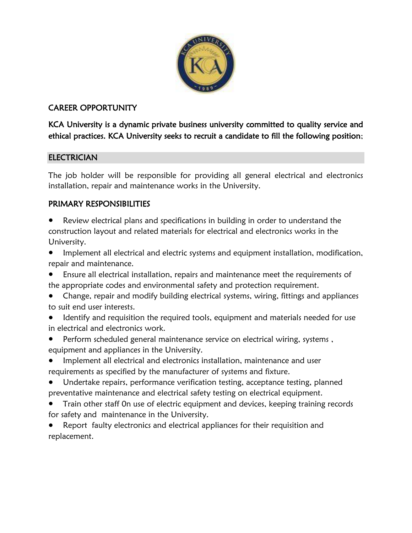

## CAREER OPPORTUNITY

KCA University is a dynamic private business university committed to quality service and ethical practices. KCA University seeks to recruit a candidate to fill the following position;

### ELECTRICIAN

The job holder will be responsible for providing all general electrical and electronics installation, repair and maintenance works in the University.

## PRIMARY RESPONSIBILITIES

- Review electrical plans and specifications in building in order to understand the construction layout and related materials for electrical and electronics works in the University.
- Implement all electrical and electric systems and equipment installation, modification, repair and maintenance.
- Ensure all electrical installation, repairs and maintenance meet the requirements of the appropriate codes and environmental safety and protection requirement.
- Change, repair and modify building electrical systems, wiring, fittings and appliances to suit end user interests.
- Identify and requisition the required tools, equipment and materials needed for use in electrical and electronics work.
- Perform scheduled general maintenance service on electrical wiring, systems, equipment and appliances in the University.
- Implement all electrical and electronics installation, maintenance and user requirements as specified by the manufacturer of systems and fixture.
- Undertake repairs, performance verification testing, acceptance testing, planned preventative maintenance and electrical safety testing on electrical equipment.
- Train other staff On use of electric equipment and devices, keeping training records for safety and maintenance in the University.
- Report faulty electronics and electrical appliances for their requisition and replacement.